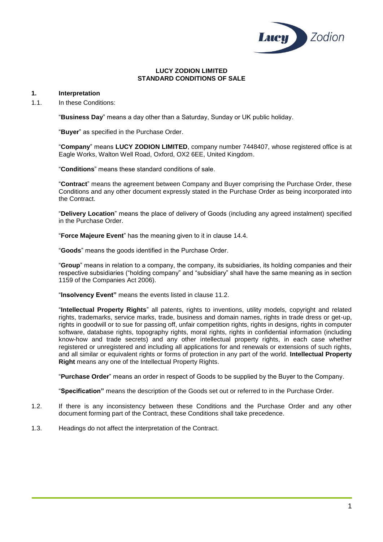

### **LUCY ZODION LIMITED STANDARD CONDITIONS OF SALE**

## **1. Interpretation**

1.1. In these Conditions:

"**Business Day**" means a day other than a Saturday, Sunday or UK public holiday.

"**Buyer**" as specified in the Purchase Order.

"**Company**" means **LUCY ZODION LIMITED**, company number 7448407, whose registered office is at Eagle Works, Walton Well Road, Oxford, OX2 6EE, United Kingdom.

"**Conditions**" means these standard conditions of sale.

"**Contract**" means the agreement between Company and Buyer comprising the Purchase Order, these Conditions and any other document expressly stated in the Purchase Order as being incorporated into the Contract.

"**Delivery Location**" means the place of delivery of Goods (including any agreed instalment) specified in the Purchase Order.

"**Force Majeure Event**" has the meaning given to it in clause [14.4.](#page-6-0)

"**Goods**" means the goods identified in the Purchase Order.

"**Group**" means in relation to a company, the company, its subsidiaries, its holding companies and their respective subsidiaries ("holding company" and "subsidiary" shall have the same meaning as in section 1159 of the Companies Act 2006).

"**Insolvency Event"** means the events listed in clause [11.2.](#page-5-0)

"**Intellectual Property Rights**" all patents, rights to inventions, utility models, copyright and related rights, trademarks, service marks, trade, business and domain names, rights in trade dress or get-up, rights in goodwill or to sue for passing off, unfair competition rights, rights in designs, rights in computer software, database rights, topography rights, moral rights, rights in confidential information (including know-how and trade secrets) and any other intellectual property rights, in each case whether registered or unregistered and including all applications for and renewals or extensions of such rights, and all similar or equivalent rights or forms of protection in any part of the world. **Intellectual Property Right** means any one of the Intellectual Property Rights.

"**Purchase Order**" means an order in respect of Goods to be supplied by the Buyer to the Company.

"**Specification"** means the description of the Goods set out or referred to in the Purchase Order.

- 1.2. If there is any inconsistency between these Conditions and the Purchase Order and any other document forming part of the Contract, these Conditions shall take precedence.
- 1.3. Headings do not affect the interpretation of the Contract.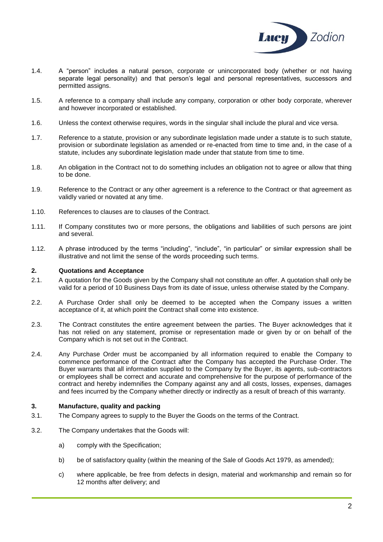

- 1.4. A "person" includes a natural person, corporate or unincorporated body (whether or not having separate legal personality) and that person's legal and personal representatives, successors and permitted assigns.
- 1.5. A reference to a company shall include any company, corporation or other body corporate, wherever and however incorporated or established.
- 1.6. Unless the context otherwise requires, words in the singular shall include the plural and vice versa.
- 1.7. Reference to a statute, provision or any subordinate legislation made under a statute is to such statute, provision or subordinate legislation as amended or re-enacted from time to time and, in the case of a statute, includes any subordinate legislation made under that statute from time to time.
- 1.8. An obligation in the Contract not to do something includes an obligation not to agree or allow that thing to be done.
- 1.9. Reference to the Contract or any other agreement is a reference to the Contract or that agreement as validly varied or novated at any time.
- 1.10. References to clauses are to clauses of the Contract.
- 1.11. If Company constitutes two or more persons, the obligations and liabilities of such persons are joint and several.
- 1.12. A phrase introduced by the terms "including", "include", "in particular" or similar expression shall be illustrative and not limit the sense of the words proceeding such terms.

## **2. Quotations and Acceptance**

- 2.1. A quotation for the Goods given by the Company shall not constitute an offer. A quotation shall only be valid for a period of 10 Business Days from its date of issue, unless otherwise stated by the Company.
- 2.2. A Purchase Order shall only be deemed to be accepted when the Company issues a written acceptance of it, at which point the Contract shall come into existence.
- 2.3. The Contract constitutes the entire agreement between the parties. The Buyer acknowledges that it has not relied on any statement, promise or representation made or given by or on behalf of the Company which is not set out in the Contract.
- 2.4. Any Purchase Order must be accompanied by all information required to enable the Company to commence performance of the Contract after the Company has accepted the Purchase Order. The Buyer warrants that all information supplied to the Company by the Buyer, its agents, sub-contractors or employees shall be correct and accurate and comprehensive for the purpose of performance of the contract and hereby indemnifies the Company against any and all costs, losses, expenses, damages and fees incurred by the Company whether directly or indirectly as a result of breach of this warranty.

## **3. Manufacture, quality and packing**

- 3.1. The Company agrees to supply to the Buyer the Goods on the terms of the Contract.
- 3.2. The Company undertakes that the Goods will:
	- a) comply with the Specification;
	- b) be of satisfactory quality (within the meaning of the Sale of Goods Act 1979, as amended);
	- c) where applicable, be free from defects in design, material and workmanship and remain so for 12 months after delivery; and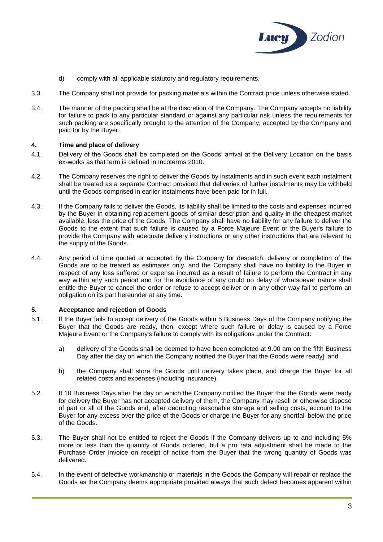

- d) comply with all applicable statutory and regulatory requirements.
- 3.3. The Company shall not provide for packing materials within the Contract price unless otherwise stated.
- 3.4. The manner of the packing shall be at the discretion of the Company. The Company accepts no liability for failure to pack to any particular standard or against any particular risk unless the requirements for such packing are specifically brought to the attention of the Company, accepted by the Company and paid for by the Buyer.

## **4. Time and place of delivery**

- 4.1. Delivery of the Goods shall be completed on the Goods' arrival at the Delivery Location on the basis ex-works as that term is defined in Incoterms 2010.
- 4.2. The Company reserves the right to deliver the Goods by instalments and in such event each instalment shall be treated as a separate Contract provided that deliveries of further instalments may be withheld until the Goods comprised in earlier instalments have been paid for in full.
- 4.3. If the Company fails to deliver the Goods, its liability shall be limited to the costs and expenses incurred by the Buyer in obtaining replacement goods of similar description and quality in the cheapest market available, less the price of the Goods. The Company shall have no liability for any failure to deliver the Goods to the extent that such failure is caused by a Force Majeure Event or the Buyer's failure to provide the Company with adequate delivery instructions or any other instructions that are relevant to the supply of the Goods.
- 4.4. Any period of time quoted or accepted by the Company for despatch, delivery or completion of the Goods are to be treated as estimates only, and the Company shall have no liability to the Buyer in respect of any loss suffered or expense incurred as a result of failure to perform the Contract in any way within any such period and for the avoidance of any doubt no delay of whatsoever nature shall entitle the Buyer to cancel the order or refuse to accept deliver or in any other way fail to perform an obligation on its part hereunder at any time.

# **5. Acceptance and rejection of Goods**

- 5.1. If the Buyer fails to accept delivery of the Goods within 5 Business Days of the Company notifying the Buyer that the Goods are ready, then, except where such failure or delay is caused by a Force Majeure Event or the Company's failure to comply with its obligations under the Contract:
	- a) delivery of the Goods shall be deemed to have been completed at 9.00 am on the fifth Business Day after the day on which the Company notified the Buyer that the Goods were readyl; and
	- b) the Company shall store the Goods until delivery takes place, and charge the Buyer for all related costs and expenses (including insurance).
- 5.2. If 10 Business Days after the day on which the Company notified the Buyer that the Goods were ready for delivery the Buyer has not accepted delivery of them, the Company may resell or otherwise dispose of part or all of the Goods and, after deducting reasonable storage and selling costs, account to the Buyer for any excess over the price of the Goods or charge the Buyer for any shortfall below the price of the Goods.
- 5.3. The Buyer shall not be entitled to reject the Goods if the Company delivers up to and including 5% more or less than the quantity of Goods ordered, but a pro rata adjustment shall be made to the Purchase Order invoice on receipt of notice from the Buyer that the wrong quantity of Goods was delivered.
- 5.4. In the event of defective workmanship or materials in the Goods the Company will repair or replace the Goods as the Company deems appropriate provided always that such defect becomes apparent within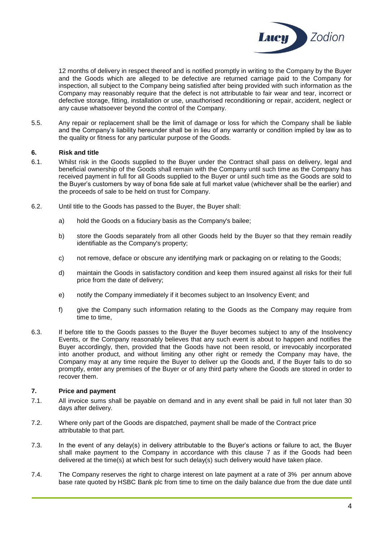

12 months of delivery in respect thereof and is notified promptly in writing to the Company by the Buyer and the Goods which are alleged to be defective are returned carriage paid to the Company for inspection, all subject to the Company being satisfied after being provided with such information as the Company may reasonably require that the defect is not attributable to fair wear and tear, incorrect or defective storage, fitting, installation or use, unauthorised reconditioning or repair, accident, neglect or any cause whatsoever beyond the control of the Company.

5.5. Any repair or replacement shall be the limit of damage or loss for which the Company shall be liable and the Company's liability hereunder shall be in lieu of any warranty or condition implied by law as to the quality or fitness for any particular purpose of the Goods.

### **6. Risk and title**

- 6.1. Whilst risk in the Goods supplied to the Buyer under the Contract shall pass on delivery, legal and beneficial ownership of the Goods shall remain with the Company until such time as the Company has received payment in full for all Goods supplied to the Buyer or until such time as the Goods are sold to the Buyer's customers by way of bona fide sale at full market value (whichever shall be the earlier) and the proceeds of sale to be held on trust for Company.
- 6.2. Until title to the Goods has passed to the Buyer, the Buyer shall:
	- a) hold the Goods on a fiduciary basis as the Company's bailee;
	- b) store the Goods separately from all other Goods held by the Buyer so that they remain readily identifiable as the Company's property;
	- c) not remove, deface or obscure any identifying mark or packaging on or relating to the Goods;
	- d) maintain the Goods in satisfactory condition and keep them insured against all risks for their full price from the date of delivery;
	- e) notify the Company immediately if it becomes subject to an Insolvency Event; and
	- f) give the Company such information relating to the Goods as the Company may require from time to time,
- 6.3. If before title to the Goods passes to the Buyer the Buyer becomes subject to any of the Insolvency Events, or the Company reasonably believes that any such event is about to happen and notifies the Buyer accordingly, then, provided that the Goods have not been resold, or irrevocably incorporated into another product, and without limiting any other right or remedy the Company may have, the Company may at any time require the Buyer to deliver up the Goods and, if the Buyer fails to do so promptly, enter any premises of the Buyer or of any third party where the Goods are stored in order to recover them.

## <span id="page-3-0"></span>**7. Price and payment**

- 7.1. All invoice sums shall be payable on demand and in any event shall be paid in full not later than 30 days after delivery.
- 7.2. Where only part of the Goods are dispatched, payment shall be made of the Contract price attributable to that part.
- 7.3. In the event of any delay(s) in delivery attributable to the Buyer's actions or failure to act, the Buyer shall make payment to the Company in accordance with this clause [7](#page-3-0) as if the Goods had been delivered at the time(s) at which best for such delay(s) such delivery would have taken place.
- 7.4. The Company reserves the right to charge interest on late payment at a rate of 3% per annum above base rate quoted by HSBC Bank plc from time to time on the daily balance due from the due date until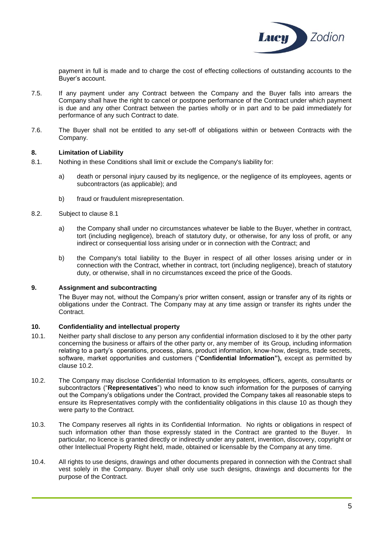

payment in full is made and to charge the cost of effecting collections of outstanding accounts to the Buyer's account.

- 7.5. If any payment under any Contract between the Company and the Buyer falls into arrears the Company shall have the right to cancel or postpone performance of the Contract under which payment is due and any other Contract between the parties wholly or in part and to be paid immediately for performance of any such Contract to date.
- 7.6. The Buyer shall not be entitled to any set-off of obligations within or between Contracts with the Company.

## **8. Limitation of Liability**

- <span id="page-4-0"></span>8.1. Nothing in these Conditions shall limit or exclude the Company's liability for:
	- a) death or personal injury caused by its negligence, or the negligence of its employees, agents or subcontractors (as applicable); and
	- b) fraud or fraudulent misrepresentation.
- 8.2. Subject to clause [8.1](#page-4-0)
	- a) the Company shall under no circumstances whatever be liable to the Buyer, whether in contract, tort (including negligence), breach of statutory duty, or otherwise, for any loss of profit, or any indirect or consequential loss arising under or in connection with the Contract; and
	- b) the Company's total liability to the Buyer in respect of all other losses arising under or in connection with the Contract, whether in contract, tort (including negligence), breach of statutory duty, or otherwise, shall in no circumstances exceed the price of the Goods.

### **9. Assignment and subcontracting**

The Buyer may not, without the Company's prior written consent, assign or transfer any of its rights or obligations under the Contract. The Company may at any time assign or transfer its rights under the Contract.

## <span id="page-4-2"></span>**10. Confidentiality and intellectual property**

- 10.1. Neither party shall disclose to any person any confidential information disclosed to it by the other party concerning the business or affairs of the other party or, any member of its Group, including information relating to a party's operations, process, plans, product information, know-how, designs, trade secrets, software, market opportunities and customers ("**Confidential Information"),** except as permitted by clause [10.2.](#page-4-1)
- <span id="page-4-1"></span>10.2. The Company may disclose Confidential Information to its employees, officers, agents, consultants or subcontractors ("**Representatives**") who need to know such information for the purposes of carrying out the Company's obligations under the Contract, provided the Company takes all reasonable steps to ensure its Representatives comply with the confidentiality obligations in this clause [10](#page-4-2) as though they were party to the Contract.
- 10.3. The Company reserves all rights in its Confidential Information. No rights or obligations in respect of such information other than those expressly stated in the Contract are granted to the Buyer. In particular, no licence is granted directly or indirectly under any patent, invention, discovery, copyright or other Intellectual Property Right held, made, obtained or licensable by the Company at any time.
- 10.4. All rights to use designs, drawings and other documents prepared in connection with the Contract shall vest solely in the Company. Buyer shall only use such designs, drawings and documents for the purpose of the Contract.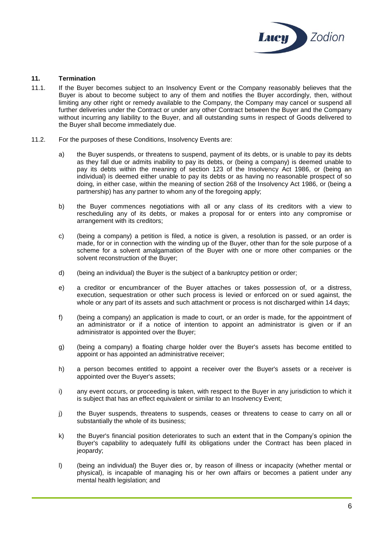

## **11. Termination**

- 11.1. If the Buyer becomes subject to an Insolvency Event or the Company reasonably believes that the Buyer is about to become subject to any of them and notifies the Buyer accordingly, then, without limiting any other right or remedy available to the Company, the Company may cancel or suspend all further deliveries under the Contract or under any other Contract between the Buyer and the Company without incurring any liability to the Buyer, and all outstanding sums in respect of Goods delivered to the Buyer shall become immediately due.
- <span id="page-5-0"></span>11.2. For the purposes of these Conditions, Insolvency Events are:
	- a) the Buyer suspends, or threatens to suspend, payment of its debts, or is unable to pay its debts as they fall due or admits inability to pay its debts, or (being a company) is deemed unable to pay its debts within the meaning of section 123 of the Insolvency Act 1986, or (being an individual) is deemed either unable to pay its debts or as having no reasonable prospect of so doing, in either case, within the meaning of section 268 of the Insolvency Act 1986, or (being a partnership) has any partner to whom any of the foregoing apply;
	- b) the Buyer commences negotiations with all or any class of its creditors with a view to rescheduling any of its debts, or makes a proposal for or enters into any compromise or arrangement with its creditors;
	- c) (being a company) a petition is filed, a notice is given, a resolution is passed, or an order is made, for or in connection with the winding up of the Buyer, other than for the sole purpose of a scheme for a solvent amalgamation of the Buyer with one or more other companies or the solvent reconstruction of the Buyer;
	- d) (being an individual) the Buyer is the subject of a bankruptcy petition or order;
	- e) a creditor or encumbrancer of the Buyer attaches or takes possession of, or a distress, execution, sequestration or other such process is levied or enforced on or sued against, the whole or any part of its assets and such attachment or process is not discharged within 14 days;
	- f) (being a company) an application is made to court, or an order is made, for the appointment of an administrator or if a notice of intention to appoint an administrator is given or if an administrator is appointed over the Buyer;
	- g) (being a company) a floating charge holder over the Buyer's assets has become entitled to appoint or has appointed an administrative receiver;
	- h) a person becomes entitled to appoint a receiver over the Buyer's assets or a receiver is appointed over the Buyer's assets;
	- i) any event occurs, or proceeding is taken, with respect to the Buyer in any jurisdiction to which it is subject that has an effect equivalent or similar to an Insolvency Event;
	- j) the Buyer suspends, threatens to suspends, ceases or threatens to cease to carry on all or substantially the whole of its business;
	- k) the Buyer's financial position deteriorates to such an extent that in the Company's opinion the Buyer's capability to adequately fulfil its obligations under the Contract has been placed in ieopardy:
	- l) (being an individual) the Buyer dies or, by reason of illness or incapacity (whether mental or physical), is incapable of managing his or her own affairs or becomes a patient under any mental health legislation; and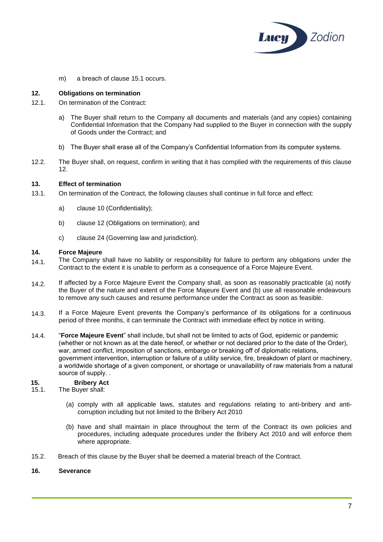

m) a breach of clause [15.1](#page-6-1) occurs.

## <span id="page-6-2"></span>**12. Obligations on termination**

- 12.1. On termination of the Contract:
	- a) The Buyer shall return to the Company all documents and materials (and any copies) containing Confidential Information that the Company had supplied to the Buyer in connection with the supply of Goods under the Contract; and
	- b) The Buyer shall erase all of the Company's Confidential Information from its computer systems.
- 12.2. The Buyer shall, on request, confirm in writing that it has complied with the requirements of this clause [12.](#page-6-2)

## **13. Effect of termination**

- 13.1. On termination of the Contract, the following clauses shall continue in full force and effect:
	- a) clause [10](#page-4-2) (Confidentiality);
	- b) clause [12](#page-6-2) (Obligations on termination); and
	- c) clause [24](#page-8-0) (Governing law and jurisdiction).

#### **14. Force Majeure**

- 14.1. The Company shall have no liability or responsibility for failure to perform any obligations under the Contract to the extent it is unable to perform as a consequence of a Force Majeure Event.
- 14.2. If affected by a Force Majeure Event the Company shall, as soon as reasonably practicable (a) notify the Buyer of the nature and extent of the Force Majeure Event and (b) use all reasonable endeavours to remove any such causes and resume performance under the Contract as soon as feasible.
- 14.3. If a Force Majeure Event prevents the Company's performance of its obligations for a continuous period of three months, it can terminate the Contract with immediate effect by notice in writing.
- <span id="page-6-0"></span>14.4. "**Force Majeure Event**" shall include, but shall not be limited to acts of God, epidemic or pandemic (whether or not known as at the date hereof, or whether or not declared prior to the date of the Order), war, armed conflict, imposition of sanctions, embargo or breaking off of diplomatic relations, government intervention, interruption or failure of a utility service, fire, breakdown of plant or machinery, a worldwide shortage of a given component, or shortage or unavailability of raw materials from a natural source of supply. .

### **15. Bribery Act**

- <span id="page-6-1"></span>15.1. The Buyer shall:
	- (a) comply with all applicable laws, statutes and regulations relating to anti-bribery and anticorruption including but not limited to the Bribery Act 2010
	- (b) have and shall maintain in place throughout the term of the Contract its own policies and procedures, including adequate procedures under the Bribery Act 2010 and will enforce them where appropriate.
- 15.2. Breach of this clause by the Buyer shall be deemed a material breach of the Contract.

### **16. Severance**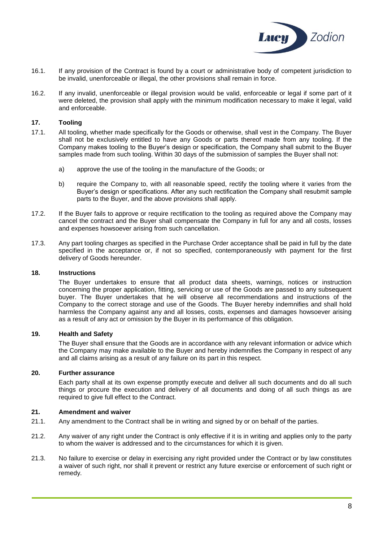

- 16.1. If any provision of the Contract is found by a court or administrative body of competent jurisdiction to be invalid, unenforceable or illegal, the other provisions shall remain in force.
- 16.2. If any invalid, unenforceable or illegal provision would be valid, enforceable or legal if some part of it were deleted, the provision shall apply with the minimum modification necessary to make it legal, valid and enforceable.

## **17. Tooling**

- 17.1. All tooling, whether made specifically for the Goods or otherwise, shall vest in the Company. The Buyer shall not be exclusively entitled to have any Goods or parts thereof made from any tooling. If the Company makes tooling to the Buyer's design or specification, the Company shall submit to the Buyer samples made from such tooling. Within 30 days of the submission of samples the Buyer shall not:
	- a) approve the use of the tooling in the manufacture of the Goods; or
	- b) require the Company to, with all reasonable speed, rectify the tooling where it varies from the Buyer's design or specifications. After any such rectification the Company shall resubmit sample parts to the Buyer, and the above provisions shall apply.
- 17.2. If the Buyer fails to approve or require rectification to the tooling as required above the Company may cancel the contract and the Buyer shall compensate the Company in full for any and all costs, losses and expenses howsoever arising from such cancellation.
- 17.3. Any part tooling charges as specified in the Purchase Order acceptance shall be paid in full by the date specified in the acceptance or, if not so specified, contemporaneously with payment for the first delivery of Goods hereunder.

### **18. Instructions**

The Buyer undertakes to ensure that all product data sheets, warnings, notices or instruction concerning the proper application, fitting, servicing or use of the Goods are passed to any subsequent buyer. The Buyer undertakes that he will observe all recommendations and instructions of the Company to the correct storage and use of the Goods. The Buyer hereby indemnifies and shall hold harmless the Company against any and all losses, costs, expenses and damages howsoever arising as a result of any act or omission by the Buyer in its performance of this obligation.

### **19. Health and Safety**

The Buyer shall ensure that the Goods are in accordance with any relevant information or advice which the Company may make available to the Buyer and hereby indemnifies the Company in respect of any and all claims arising as a result of any failure on its part in this respect.

### **20. Further assurance**

Each party shall at its own expense promptly execute and deliver all such documents and do all such things or procure the execution and delivery of all documents and doing of all such things as are required to give full effect to the Contract.

## **21. Amendment and waiver**

- 21.1. Any amendment to the Contract shall be in writing and signed by or on behalf of the parties.
- 21.2. Any waiver of any right under the Contract is only effective if it is in writing and applies only to the party to whom the waiver is addressed and to the circumstances for which it is given.
- 21.3. No failure to exercise or delay in exercising any right provided under the Contract or by law constitutes a waiver of such right, nor shall it prevent or restrict any future exercise or enforcement of such right or remedy.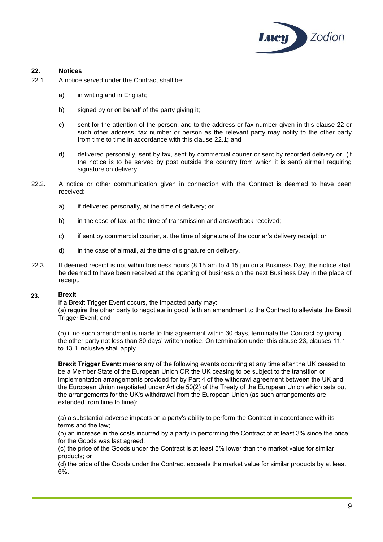

## <span id="page-8-1"></span>**22. Notices**

- <span id="page-8-2"></span>22.1. A notice served under the Contract shall be:
	- a) in writing and in English;
	- b) signed by or on behalf of the party giving it;
	- c) sent for the attention of the person, and to the address or fax number given in this clause [22](#page-8-1) or such other address, fax number or person as the relevant party may notify to the other party from time to time in accordance with this clause [22.1;](#page-8-2) and
	- d) delivered personally, sent by fax, sent by commercial courier or sent by recorded delivery or (if the notice is to be served by post outside the country from which it is sent) airmail requiring signature on delivery.
- 22.2. A notice or other communication given in connection with the Contract is deemed to have been received:
	- a) if delivered personally, at the time of delivery; or
	- b) in the case of fax, at the time of transmission and answerback received;
	- c) if sent by commercial courier, at the time of signature of the courier's delivery receipt; or
	- d) in the case of airmail, at the time of signature on delivery.
- 22.3. If deemed receipt is not within business hours (8.15 am to 4.15 pm on a Business Day, the notice shall be deemed to have been received at the opening of business on the next Business Day in the place of receipt.

#### **Brexit 23.**

If a Brexit Trigger Event occurs, the impacted party may:

(a) require the other party to negotiate in good faith an amendment to the Contract to alleviate the Brexit Trigger Event; and

<span id="page-8-0"></span>(b) if no such amendment is made to this agreement within 30 days, terminate the Contract by giving the other party not less than 30 days' written notice. On termination under this clause 23, clauses 11.1 to 13.1 inclusive shall apply.

**Brexit Trigger Event:** means any of the following events occurring at any time after the UK ceased to be a Member State of the European Union OR the UK ceasing to be subject to the transition or implementation arrangements provided for by Part 4 of the withdrawl agreement between the UK and the European Union negotiated under Article 50(2) of the Treaty of the European Union which sets out the arrangements for the UK's withdrawal from the European Union (as such arrangements are extended from time to time):

(a) a substantial adverse impacts on a party's ability to perform the Contract in accordance with its terms and the law;

(b) an increase in the costs incurred by a party in performing the Contract of at least 3% since the price for the Goods was last agreed:

(c) the price of the Goods under the Contract is at least 5% lower than the market value for similar products; or

(d) the price of the Goods under the Contract exceeds the market value for similar products by at least 5%.